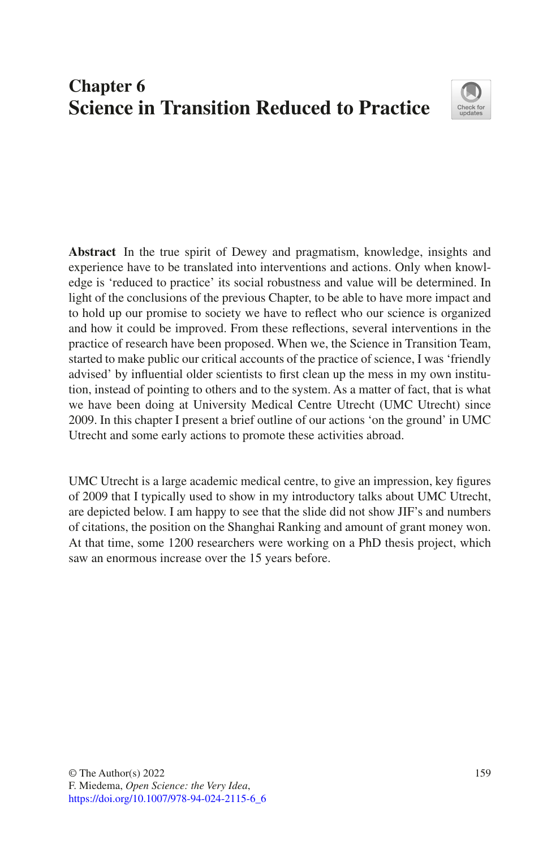# **Chapter 6 Science in Transition Reduced to Practice**



**Abstract** In the true spirit of Dewey and pragmatism, knowledge, insights and experience have to be translated into interventions and actions. Only when knowledge is 'reduced to practice' its social robustness and value will be determined. In light of the conclusions of the previous Chapter, to be able to have more impact and to hold up our promise to society we have to refect who our science is organized and how it could be improved. From these refections, several interventions in the practice of research have been proposed. When we, the Science in Transition Team, started to make public our critical accounts of the practice of science, I was 'friendly advised' by infuential older scientists to frst clean up the mess in my own institution, instead of pointing to others and to the system. As a matter of fact, that is what we have been doing at University Medical Centre Utrecht (UMC Utrecht) since 2009. In this chapter I present a brief outline of our actions 'on the ground' in UMC Utrecht and some early actions to promote these activities abroad.

UMC Utrecht is a large academic medical centre, to give an impression, key fgures of 2009 that I typically used to show in my introductory talks about UMC Utrecht, are depicted below. I am happy to see that the slide did not show JIF's and numbers of citations, the position on the Shanghai Ranking and amount of grant money won. At that time, some 1200 researchers were working on a PhD thesis project, which saw an enormous increase over the 15 years before.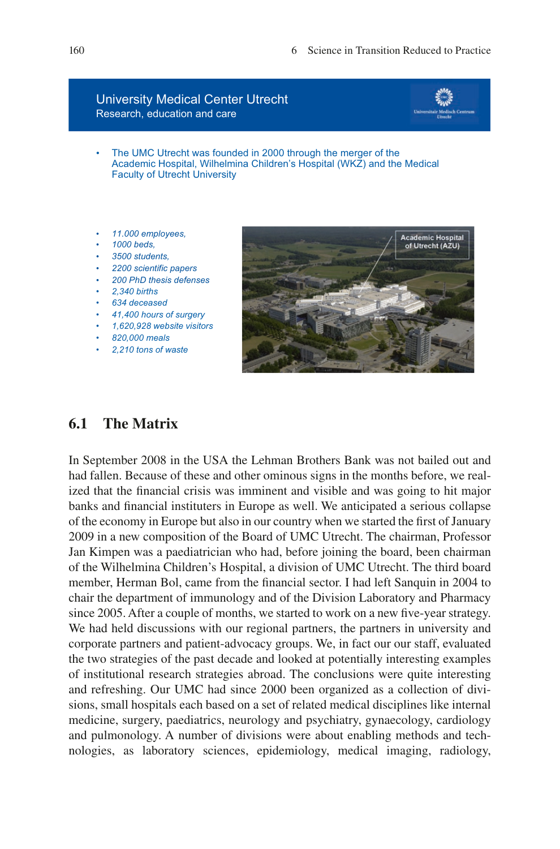#### University Medical Center Utrecht Research, education and care



- The UMC Utrecht was founded in 2000 through the merger of the Academic Hospital, Wilhelmina Children's Hospital (WKZ) and the Medical Faculty of Utrecht University
- *11.000 employees,*
- *1000 beds,*
- *3500 students,*
- *2200 scientific papers*
- *200 PhD thesis defenses*
- *2,340 births*
- *634 deceased*
- *41,400 hours of surgery*
- *1,620,928 website visitors*
- *820,000 meals*
- *2,210 tons of waste*



# **6.1 The Matrix**

In September 2008 in the USA the Lehman Brothers Bank was not bailed out and had fallen. Because of these and other ominous signs in the months before, we realized that the fnancial crisis was imminent and visible and was going to hit major banks and fnancial instituters in Europe as well. We anticipated a serious collapse of the economy in Europe but also in our country when we started the frst of January 2009 in a new composition of the Board of UMC Utrecht. The chairman, Professor Jan Kimpen was a paediatrician who had, before joining the board, been chairman of the Wilhelmina Children's Hospital, a division of UMC Utrecht. The third board member, Herman Bol, came from the fnancial sector. I had left Sanquin in 2004 to chair the department of immunology and of the Division Laboratory and Pharmacy since 2005. After a couple of months, we started to work on a new fve-year strategy. We had held discussions with our regional partners, the partners in university and corporate partners and patient-advocacy groups. We, in fact our our staff, evaluated the two strategies of the past decade and looked at potentially interesting examples of institutional research strategies abroad. The conclusions were quite interesting and refreshing. Our UMC had since 2000 been organized as a collection of divisions, small hospitals each based on a set of related medical disciplines like internal medicine, surgery, paediatrics, neurology and psychiatry, gynaecology, cardiology and pulmonology. A number of divisions were about enabling methods and technologies, as laboratory sciences, epidemiology, medical imaging, radiology,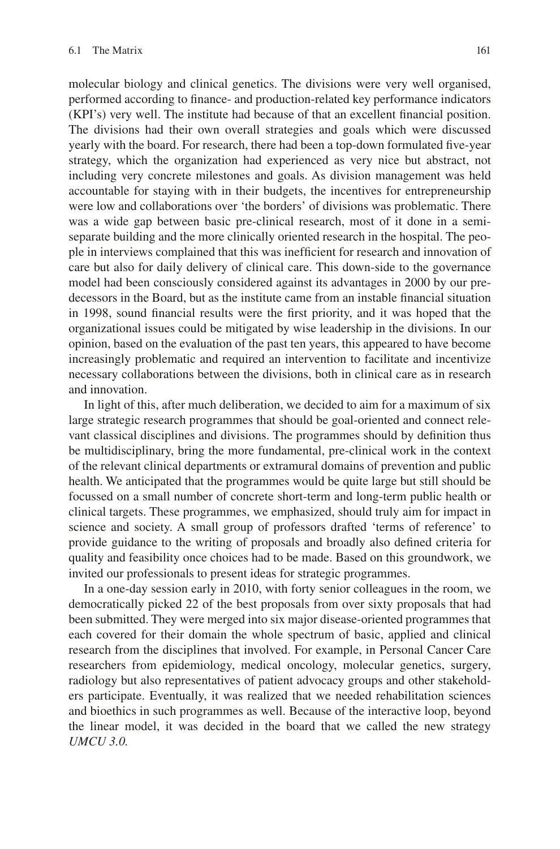molecular biology and clinical genetics. The divisions were very well organised, performed according to fnance- and production-related key performance indicators (KPI's) very well. The institute had because of that an excellent fnancial position. The divisions had their own overall strategies and goals which were discussed yearly with the board. For research, there had been a top-down formulated fve-year strategy, which the organization had experienced as very nice but abstract, not including very concrete milestones and goals. As division management was held accountable for staying with in their budgets, the incentives for entrepreneurship were low and collaborations over 'the borders' of divisions was problematic. There was a wide gap between basic pre-clinical research, most of it done in a semiseparate building and the more clinically oriented research in the hospital. The people in interviews complained that this was ineffcient for research and innovation of care but also for daily delivery of clinical care. This down-side to the governance model had been consciously considered against its advantages in 2000 by our predecessors in the Board, but as the institute came from an instable fnancial situation in 1998, sound fnancial results were the frst priority, and it was hoped that the organizational issues could be mitigated by wise leadership in the divisions. In our opinion, based on the evaluation of the past ten years, this appeared to have become increasingly problematic and required an intervention to facilitate and incentivize necessary collaborations between the divisions, both in clinical care as in research and innovation.

In light of this, after much deliberation, we decided to aim for a maximum of six large strategic research programmes that should be goal-oriented and connect relevant classical disciplines and divisions. The programmes should by defnition thus be multidisciplinary, bring the more fundamental, pre-clinical work in the context of the relevant clinical departments or extramural domains of prevention and public health. We anticipated that the programmes would be quite large but still should be focussed on a small number of concrete short-term and long-term public health or clinical targets. These programmes, we emphasized, should truly aim for impact in science and society. A small group of professors drafted 'terms of reference' to provide guidance to the writing of proposals and broadly also defned criteria for quality and feasibility once choices had to be made. Based on this groundwork, we invited our professionals to present ideas for strategic programmes.

In a one-day session early in 2010, with forty senior colleagues in the room, we democratically picked 22 of the best proposals from over sixty proposals that had been submitted. They were merged into six major disease-oriented programmes that each covered for their domain the whole spectrum of basic, applied and clinical research from the disciplines that involved. For example, in Personal Cancer Care researchers from epidemiology, medical oncology, molecular genetics, surgery, radiology but also representatives of patient advocacy groups and other stakeholders participate. Eventually, it was realized that we needed rehabilitation sciences and bioethics in such programmes as well. Because of the interactive loop, beyond the linear model, it was decided in the board that we called the new strategy *UMCU 3.0.*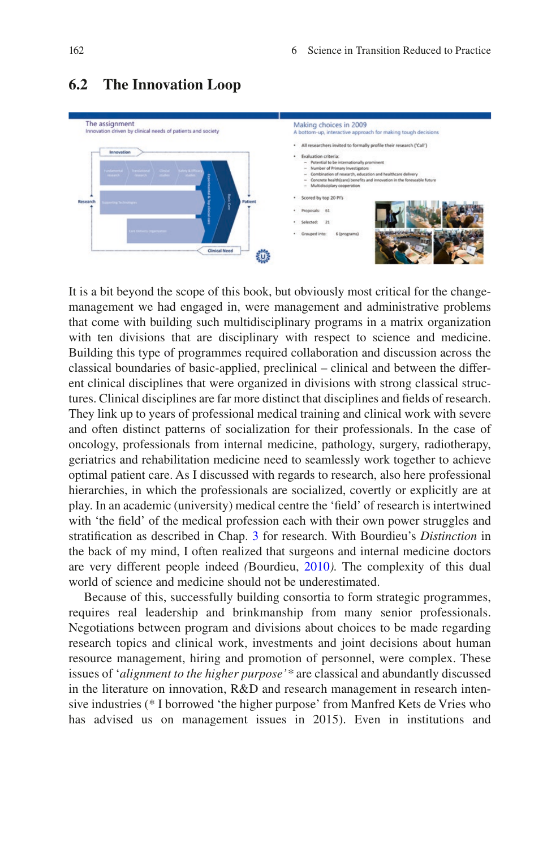

# **6.2 The Innovation Loop**

It is a bit beyond the scope of this book, but obviously most critical for the changemanagement we had engaged in, were management and administrative problems that come with building such multidisciplinary programs in a matrix organization with ten divisions that are disciplinary with respect to science and medicine. Building this type of programmes required collaboration and discussion across the classical boundaries of basic-applied, preclinical – clinical and between the different clinical disciplines that were organized in divisions with strong classical structures. Clinical disciplines are far more distinct that disciplines and felds of research. They link up to years of professional medical training and clinical work with severe and often distinct patterns of socialization for their professionals. In the case of oncology, professionals from internal medicine, pathology, surgery, radiotherapy, geriatrics and rehabilitation medicine need to seamlessly work together to achieve optimal patient care. As I discussed with regards to research, also here professional hierarchies, in which the professionals are socialized, covertly or explicitly are at play. In an academic (university) medical centre the 'feld' of research is intertwined with 'the field' of the medical profession each with their own power struggles and stratifcation as described in Chap. [3](https://doi.org/10.1007/978-94-024-2115-6_3) for research. With Bourdieu's *Distinction* in the back of my mind, I often realized that surgeons and internal medicine doctors are very different people indeed *(*Bourdieu, [2010](#page-19-0)*).* The complexity of this dual world of science and medicine should not be underestimated.

Because of this, successfully building consortia to form strategic programmes, requires real leadership and brinkmanship from many senior professionals. Negotiations between program and divisions about choices to be made regarding research topics and clinical work, investments and joint decisions about human resource management, hiring and promotion of personnel, were complex. These issues of '*alignment to the higher purpose'\** are classical and abundantly discussed in the literature on innovation, R&D and research management in research intensive industries (\* I borrowed 'the higher purpose' from Manfred Kets de Vries who has advised us on management issues in 2015). Even in institutions and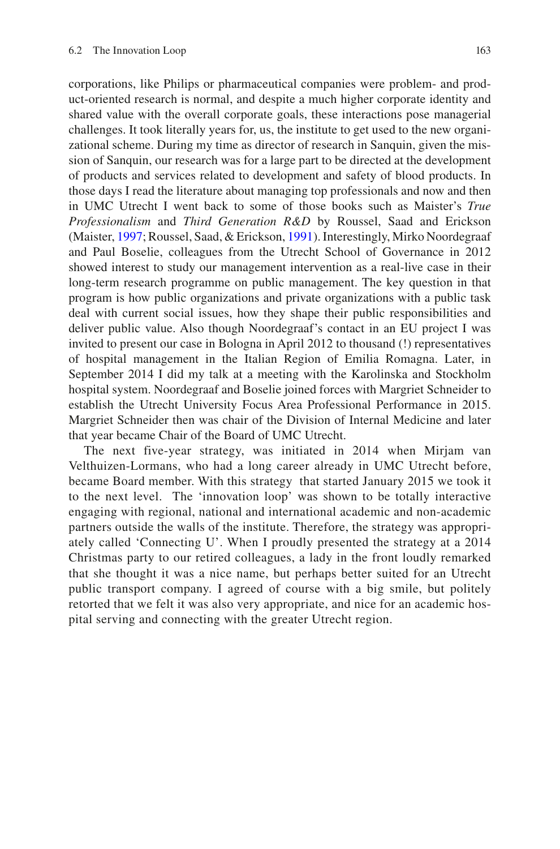corporations, like Philips or pharmaceutical companies were problem- and product-oriented research is normal, and despite a much higher corporate identity and shared value with the overall corporate goals, these interactions pose managerial challenges. It took literally years for, us, the institute to get used to the new organizational scheme. During my time as director of research in Sanquin, given the mission of Sanquin, our research was for a large part to be directed at the development of products and services related to development and safety of blood products. In those days I read the literature about managing top professionals and now and then in UMC Utrecht I went back to some of those books such as Maister's *True Professionalism* and *Third Generation R&D* by Roussel, Saad and Erickson (Maister, [1997;](#page-19-1) Roussel, Saad, & Erickson, [1991\)](#page-19-2). Interestingly, Mirko Noordegraaf and Paul Boselie, colleagues from the Utrecht School of Governance in 2012 showed interest to study our management intervention as a real-live case in their long-term research programme on public management. The key question in that program is how public organizations and private organizations with a public task deal with current social issues, how they shape their public responsibilities and deliver public value. Also though Noordegraaf's contact in an EU project I was invited to present our case in Bologna in April 2012 to thousand (!) representatives of hospital management in the Italian Region of Emilia Romagna. Later, in September 2014 I did my talk at a meeting with the Karolinska and Stockholm hospital system. Noordegraaf and Boselie joined forces with Margriet Schneider to establish the Utrecht University Focus Area Professional Performance in 2015. Margriet Schneider then was chair of the Division of Internal Medicine and later that year became Chair of the Board of UMC Utrecht.

The next five-year strategy, was initiated in 2014 when Mirjam van Velthuizen-Lormans, who had a long career already in UMC Utrecht before, became Board member. With this strategy that started January 2015 we took it to the next level. The 'innovation loop' was shown to be totally interactive engaging with regional, national and international academic and non-academic partners outside the walls of the institute. Therefore, the strategy was appropriately called 'Connecting U'. When I proudly presented the strategy at a 2014 Christmas party to our retired colleagues, a lady in the front loudly remarked that she thought it was a nice name, but perhaps better suited for an Utrecht public transport company. I agreed of course with a big smile, but politely retorted that we felt it was also very appropriate, and nice for an academic hospital serving and connecting with the greater Utrecht region.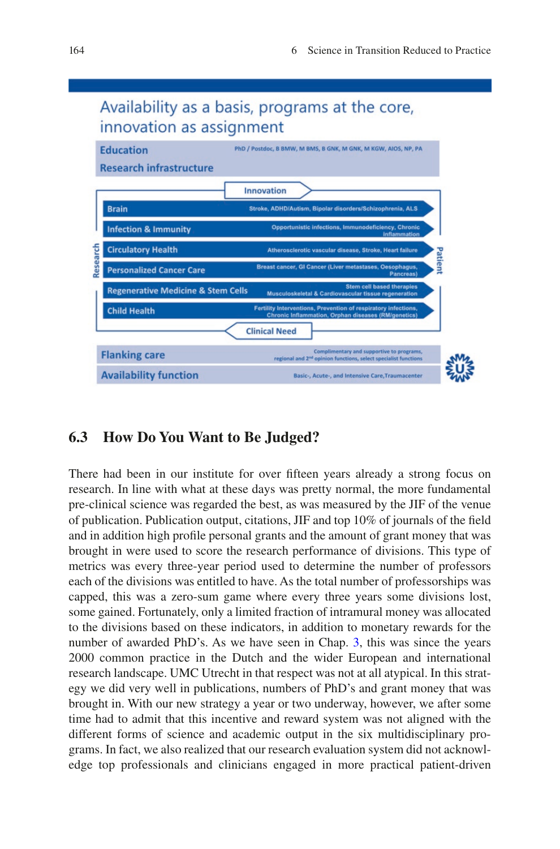

# Availability as a basis, programs at the core,

# **6.3 How Do You Want to Be Judged?**

There had been in our institute for over ffteen years already a strong focus on research. In line with what at these days was pretty normal, the more fundamental pre-clinical science was regarded the best, as was measured by the JIF of the venue of publication. Publication output, citations, JIF and top 10% of journals of the feld and in addition high profle personal grants and the amount of grant money that was brought in were used to score the research performance of divisions. This type of metrics was every three-year period used to determine the number of professors each of the divisions was entitled to have. As the total number of professorships was capped, this was a zero-sum game where every three years some divisions lost, some gained. Fortunately, only a limited fraction of intramural money was allocated to the divisions based on these indicators, in addition to monetary rewards for the number of awarded PhD's. As we have seen in Chap. [3](https://doi.org/10.1007/978-94-024-2115-6_3), this was since the years 2000 common practice in the Dutch and the wider European and international research landscape. UMC Utrecht in that respect was not at all atypical. In this strategy we did very well in publications, numbers of PhD's and grant money that was brought in. With our new strategy a year or two underway, however, we after some time had to admit that this incentive and reward system was not aligned with the different forms of science and academic output in the six multidisciplinary programs. In fact, we also realized that our research evaluation system did not acknowledge top professionals and clinicians engaged in more practical patient-driven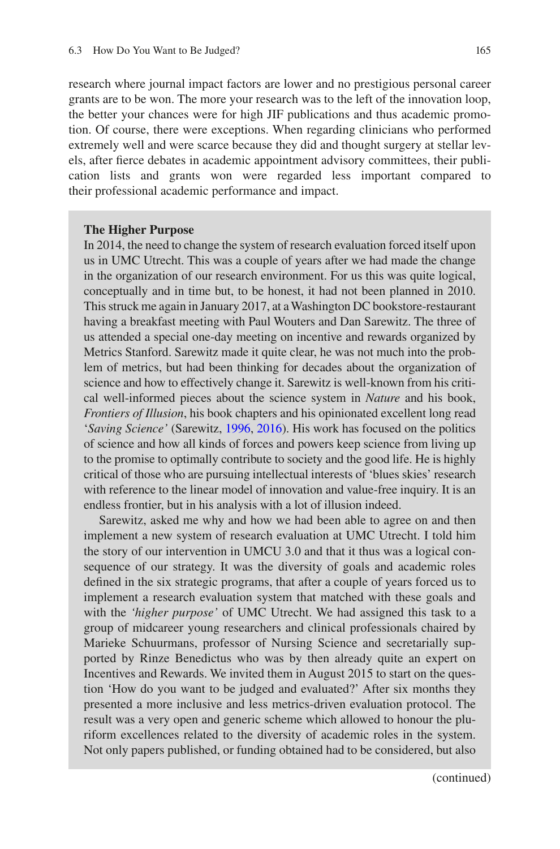research where journal impact factors are lower and no prestigious personal career grants are to be won. The more your research was to the left of the innovation loop, the better your chances were for high JIF publications and thus academic promotion. Of course, there were exceptions. When regarding clinicians who performed extremely well and were scarce because they did and thought surgery at stellar levels, after ferce debates in academic appointment advisory committees, their publication lists and grants won were regarded less important compared to their professional academic performance and impact.

#### **The Higher Purpose**

In 2014, the need to change the system of research evaluation forced itself upon us in UMC Utrecht. This was a couple of years after we had made the change in the organization of our research environment. For us this was quite logical, conceptually and in time but, to be honest, it had not been planned in 2010. This struck me again in January 2017, at a Washington DC bookstore-restaurant having a breakfast meeting with Paul Wouters and Dan Sarewitz. The three of us attended a special one-day meeting on incentive and rewards organized by Metrics Stanford. Sarewitz made it quite clear, he was not much into the problem of metrics, but had been thinking for decades about the organization of science and how to effectively change it. Sarewitz is well-known from his critical well-informed pieces about the science system in *Nature* and his book, *Frontiers of Illusion*, his book chapters and his opinionated excellent long read '*Saving Science'* (Sarewitz, [1996,](#page-19-3) [2016](#page-19-4)). His work has focused on the politics of science and how all kinds of forces and powers keep science from living up to the promise to optimally contribute to society and the good life. He is highly critical of those who are pursuing intellectual interests of 'blues skies' research with reference to the linear model of innovation and value-free inquiry. It is an endless frontier, but in his analysis with a lot of illusion indeed.

Sarewitz, asked me why and how we had been able to agree on and then implement a new system of research evaluation at UMC Utrecht. I told him the story of our intervention in UMCU 3.0 and that it thus was a logical consequence of our strategy. It was the diversity of goals and academic roles defned in the six strategic programs, that after a couple of years forced us to implement a research evaluation system that matched with these goals and with the *'higher purpose'* of UMC Utrecht. We had assigned this task to a group of midcareer young researchers and clinical professionals chaired by Marieke Schuurmans, professor of Nursing Science and secretarially supported by Rinze Benedictus who was by then already quite an expert on Incentives and Rewards. We invited them in August 2015 to start on the question 'How do you want to be judged and evaluated?' After six months they presented a more inclusive and less metrics-driven evaluation protocol. The result was a very open and generic scheme which allowed to honour the pluriform excellences related to the diversity of academic roles in the system. Not only papers published, or funding obtained had to be considered, but also

(continued)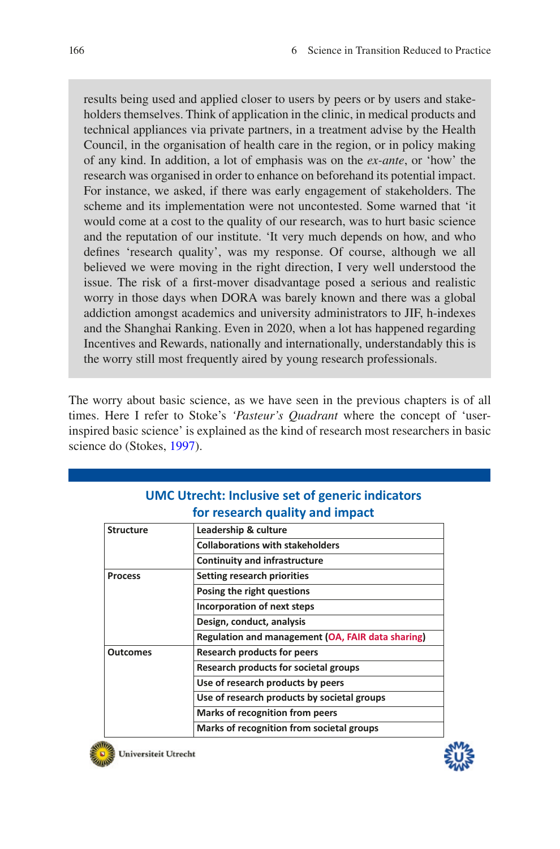results being used and applied closer to users by peers or by users and stakeholders themselves. Think of application in the clinic, in medical products and technical appliances via private partners, in a treatment advise by the Health Council, in the organisation of health care in the region, or in policy making of any kind. In addition, a lot of emphasis was on the *ex-ante*, or 'how' the research was organised in order to enhance on beforehand its potential impact. For instance, we asked, if there was early engagement of stakeholders. The scheme and its implementation were not uncontested. Some warned that 'it would come at a cost to the quality of our research, was to hurt basic science and the reputation of our institute. 'It very much depends on how, and who defnes 'research quality', was my response. Of course, although we all believed we were moving in the right direction, I very well understood the issue. The risk of a frst-mover disadvantage posed a serious and realistic worry in those days when DORA was barely known and there was a global addiction amongst academics and university administrators to JIF, h-indexes and the Shanghai Ranking. Even in 2020, when a lot has happened regarding Incentives and Rewards, nationally and internationally, understandably this is the worry still most frequently aired by young research professionals.

The worry about basic science, as we have seen in the previous chapters is of all times. Here I refer to Stoke's *'Pasteur's Quadrant* where the concept of 'userinspired basic science' is explained as the kind of research most researchers in basic science do (Stokes, [1997](#page-19-5)).

| <b>Structure</b> | Leadership & culture                              |
|------------------|---------------------------------------------------|
|                  | <b>Collaborations with stakeholders</b>           |
|                  | <b>Continuity and infrastructure</b>              |
| <b>Process</b>   | <b>Setting research priorities</b>                |
|                  | Posing the right questions                        |
|                  | Incorporation of next steps                       |
|                  | Design, conduct, analysis                         |
|                  | Regulation and management (OA, FAIR data sharing) |
| <b>Outcomes</b>  | <b>Research products for peers</b>                |
|                  | Research products for societal groups             |
|                  | Use of research products by peers                 |
|                  | Use of research products by societal groups       |
|                  | <b>Marks of recognition from peers</b>            |
|                  | Marks of recognition from societal groups         |

# **UMC Utrecht: Inclusive set of generic indicators for research quality and impact**



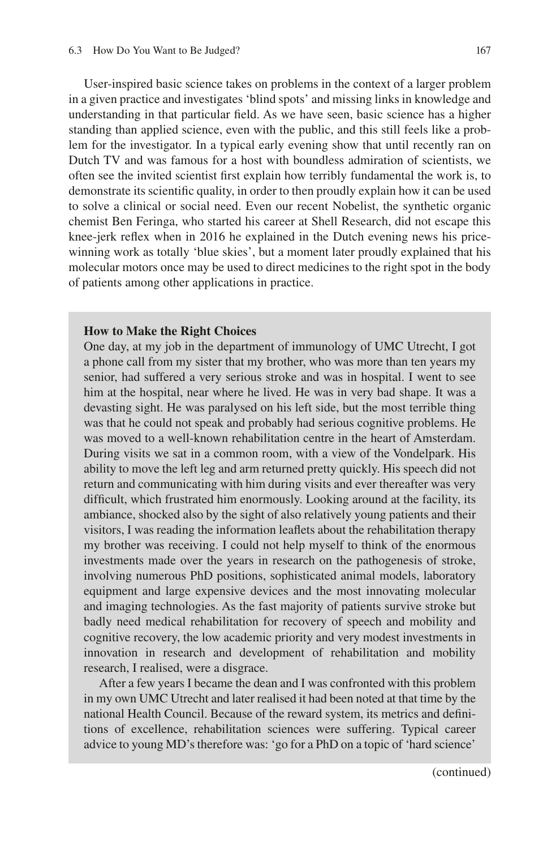User-inspired basic science takes on problems in the context of a larger problem in a given practice and investigates 'blind spots' and missing links in knowledge and understanding in that particular feld. As we have seen, basic science has a higher standing than applied science, even with the public, and this still feels like a problem for the investigator. In a typical early evening show that until recently ran on Dutch TV and was famous for a host with boundless admiration of scientists, we often see the invited scientist frst explain how terribly fundamental the work is, to demonstrate its scientifc quality, in order to then proudly explain how it can be used to solve a clinical or social need. Even our recent Nobelist, the synthetic organic chemist Ben Feringa, who started his career at Shell Research, did not escape this knee-jerk refex when in 2016 he explained in the Dutch evening news his pricewinning work as totally 'blue skies', but a moment later proudly explained that his molecular motors once may be used to direct medicines to the right spot in the body of patients among other applications in practice.

#### **How to Make the Right Choices**

One day, at my job in the department of immunology of UMC Utrecht, I got a phone call from my sister that my brother, who was more than ten years my senior, had suffered a very serious stroke and was in hospital. I went to see him at the hospital, near where he lived. He was in very bad shape. It was a devasting sight. He was paralysed on his left side, but the most terrible thing was that he could not speak and probably had serious cognitive problems. He was moved to a well-known rehabilitation centre in the heart of Amsterdam. During visits we sat in a common room, with a view of the Vondelpark. His ability to move the left leg and arm returned pretty quickly. His speech did not return and communicating with him during visits and ever thereafter was very difficult, which frustrated him enormously. Looking around at the facility, its ambiance, shocked also by the sight of also relatively young patients and their visitors, I was reading the information leafets about the rehabilitation therapy my brother was receiving. I could not help myself to think of the enormous investments made over the years in research on the pathogenesis of stroke, involving numerous PhD positions, sophisticated animal models, laboratory equipment and large expensive devices and the most innovating molecular and imaging technologies. As the fast majority of patients survive stroke but badly need medical rehabilitation for recovery of speech and mobility and cognitive recovery, the low academic priority and very modest investments in innovation in research and development of rehabilitation and mobility research, I realised, were a disgrace.

After a few years I became the dean and I was confronted with this problem in my own UMC Utrecht and later realised it had been noted at that time by the national Health Council. Because of the reward system, its metrics and defnitions of excellence, rehabilitation sciences were suffering. Typical career advice to young MD's therefore was: 'go for a PhD on a topic of 'hard science'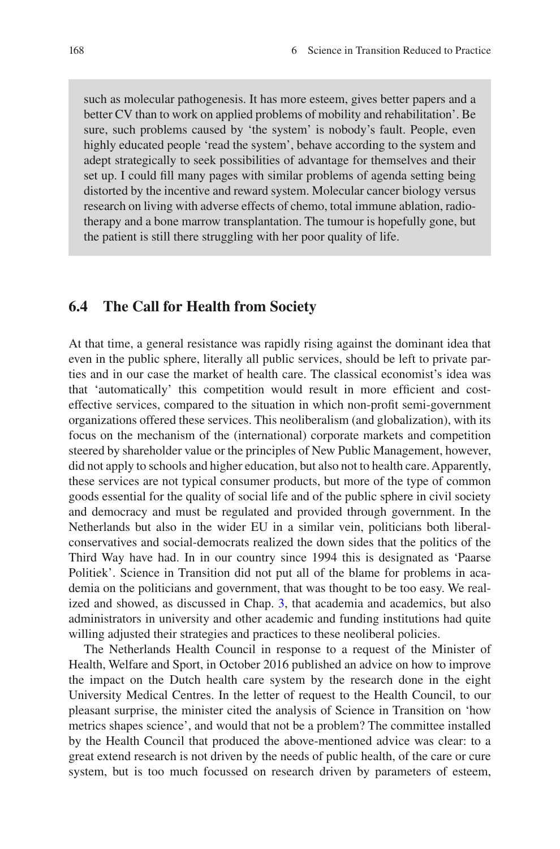such as molecular pathogenesis. It has more esteem, gives better papers and a better CV than to work on applied problems of mobility and rehabilitation'. Be sure, such problems caused by 'the system' is nobody's fault. People, even highly educated people 'read the system', behave according to the system and adept strategically to seek possibilities of advantage for themselves and their set up. I could fll many pages with similar problems of agenda setting being distorted by the incentive and reward system. Molecular cancer biology versus research on living with adverse effects of chemo, total immune ablation, radiotherapy and a bone marrow transplantation. The tumour is hopefully gone, but the patient is still there struggling with her poor quality of life.

#### **6.4 The Call for Health from Society**

At that time, a general resistance was rapidly rising against the dominant idea that even in the public sphere, literally all public services, should be left to private parties and in our case the market of health care. The classical economist's idea was that 'automatically' this competition would result in more effcient and costeffective services, compared to the situation in which non-proft semi-government organizations offered these services. This neoliberalism (and globalization), with its focus on the mechanism of the (international) corporate markets and competition steered by shareholder value or the principles of New Public Management, however, did not apply to schools and higher education, but also not to health care. Apparently, these services are not typical consumer products, but more of the type of common goods essential for the quality of social life and of the public sphere in civil society and democracy and must be regulated and provided through government. In the Netherlands but also in the wider EU in a similar vein, politicians both liberalconservatives and social-democrats realized the down sides that the politics of the Third Way have had. In in our country since 1994 this is designated as 'Paarse Politiek'. Science in Transition did not put all of the blame for problems in academia on the politicians and government, that was thought to be too easy. We realized and showed, as discussed in Chap. [3,](https://doi.org/10.1007/978-94-024-2115-6_3) that academia and academics, but also administrators in university and other academic and funding institutions had quite willing adjusted their strategies and practices to these neoliberal policies.

The Netherlands Health Council in response to a request of the Minister of Health, Welfare and Sport, in October 2016 published an advice on how to improve the impact on the Dutch health care system by the research done in the eight University Medical Centres. In the letter of request to the Health Council, to our pleasant surprise, the minister cited the analysis of Science in Transition on 'how metrics shapes science', and would that not be a problem? The committee installed by the Health Council that produced the above-mentioned advice was clear: to a great extend research is not driven by the needs of public health, of the care or cure system, but is too much focussed on research driven by parameters of esteem,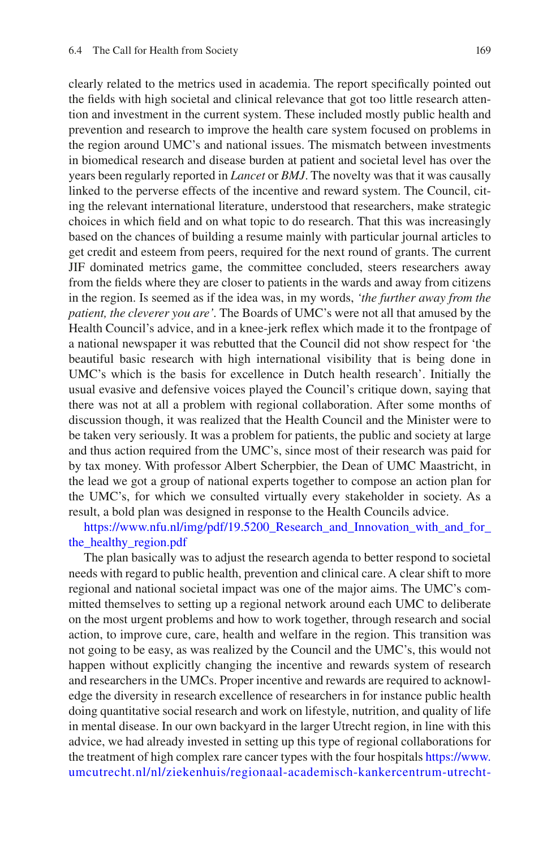clearly related to the metrics used in academia. The report specifcally pointed out the felds with high societal and clinical relevance that got too little research attention and investment in the current system. These included mostly public health and prevention and research to improve the health care system focused on problems in the region around UMC's and national issues. The mismatch between investments in biomedical research and disease burden at patient and societal level has over the years been regularly reported in *Lancet* or *BMJ*. The novelty was that it was causally linked to the perverse effects of the incentive and reward system. The Council, citing the relevant international literature, understood that researchers, make strategic choices in which feld and on what topic to do research. That this was increasingly based on the chances of building a resume mainly with particular journal articles to get credit and esteem from peers, required for the next round of grants. The current JIF dominated metrics game, the committee concluded, steers researchers away from the felds where they are closer to patients in the wards and away from citizens in the region. Is seemed as if the idea was, in my words, *'the further away from the patient, the cleverer you are'.* The Boards of UMC's were not all that amused by the Health Council's advice, and in a knee-jerk refex which made it to the frontpage of a national newspaper it was rebutted that the Council did not show respect for 'the beautiful basic research with high international visibility that is being done in UMC's which is the basis for excellence in Dutch health research'. Initially the usual evasive and defensive voices played the Council's critique down, saying that there was not at all a problem with regional collaboration. After some months of discussion though, it was realized that the Health Council and the Minister were to be taken very seriously. It was a problem for patients, the public and society at large and thus action required from the UMC's, since most of their research was paid for by tax money. With professor Albert Scherpbier, the Dean of UMC Maastricht, in the lead we got a group of national experts together to compose an action plan for the UMC's, for which we consulted virtually every stakeholder in society. As a result, a bold plan was designed in response to the Health Councils advice.

[https://www.nfu.nl/img/pdf/19.5200\\_Research\\_and\\_Innovation\\_with\\_and\\_for\\_](https://www.nfu.nl/img/pdf/19.5200_Research_and_Innovation_with_and_for_the_healthy_region.pdf) [the\\_healthy\\_region.pdf](https://www.nfu.nl/img/pdf/19.5200_Research_and_Innovation_with_and_for_the_healthy_region.pdf)

The plan basically was to adjust the research agenda to better respond to societal needs with regard to public health, prevention and clinical care. A clear shift to more regional and national societal impact was one of the major aims. The UMC's committed themselves to setting up a regional network around each UMC to deliberate on the most urgent problems and how to work together, through research and social action, to improve cure, care, health and welfare in the region. This transition was not going to be easy, as was realized by the Council and the UMC's, this would not happen without explicitly changing the incentive and rewards system of research and researchers in the UMCs. Proper incentive and rewards are required to acknowledge the diversity in research excellence of researchers in for instance public health doing quantitative social research and work on lifestyle, nutrition, and quality of life in mental disease. In our own backyard in the larger Utrecht region, in line with this advice, we had already invested in setting up this type of regional collaborations for the treatment of high complex rare cancer types with the four hospitals [https://www.](https://www.umcutrecht.nl/nl/ziekenhuis/regionaal-academisch-kankercentrum-utrecht-raku) [umcutrecht.nl/nl/ziekenhuis/regionaal-academisch-kankercentrum-utrecht-](https://www.umcutrecht.nl/nl/ziekenhuis/regionaal-academisch-kankercentrum-utrecht-raku)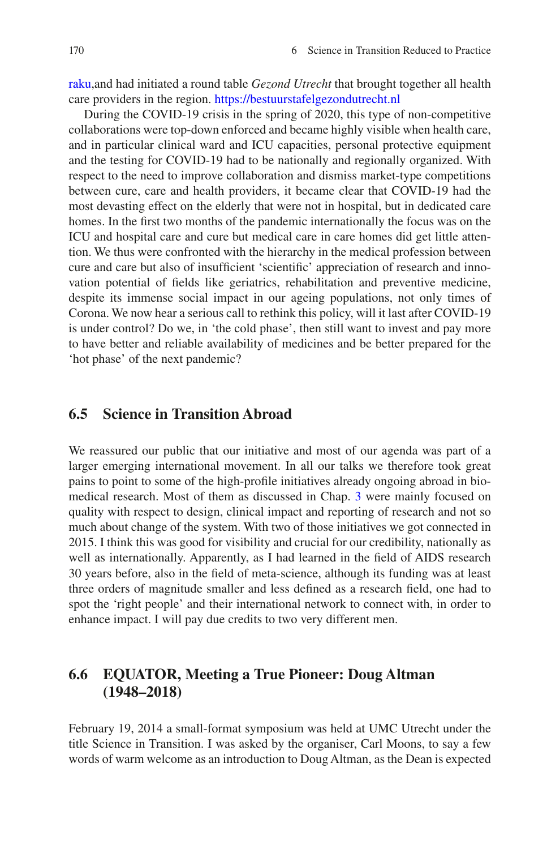[raku,](https://www.umcutrecht.nl/nl/ziekenhuis/regionaal-academisch-kankercentrum-utrecht-raku)and had initiated a round table *Gezond Utrecht* that brought together all health care providers in the region. <https://bestuurstafelgezondutrecht.nl>

During the COVID-19 crisis in the spring of 2020, this type of non-competitive collaborations were top-down enforced and became highly visible when health care, and in particular clinical ward and ICU capacities, personal protective equipment and the testing for COVID-19 had to be nationally and regionally organized. With respect to the need to improve collaboration and dismiss market-type competitions between cure, care and health providers, it became clear that COVID-19 had the most devasting effect on the elderly that were not in hospital, but in dedicated care homes. In the frst two months of the pandemic internationally the focus was on the ICU and hospital care and cure but medical care in care homes did get little attention. We thus were confronted with the hierarchy in the medical profession between cure and care but also of insuffcient 'scientifc' appreciation of research and innovation potential of felds like geriatrics, rehabilitation and preventive medicine, despite its immense social impact in our ageing populations, not only times of Corona. We now hear a serious call to rethink this policy, will it last after COVID-19 is under control? Do we, in 'the cold phase', then still want to invest and pay more to have better and reliable availability of medicines and be better prepared for the 'hot phase' of the next pandemic?

#### **6.5 Science in Transition Abroad**

We reassured our public that our initiative and most of our agenda was part of a larger emerging international movement. In all our talks we therefore took great pains to point to some of the high-profle initiatives already ongoing abroad in biomedical research. Most of them as discussed in Chap. [3](https://doi.org/10.1007/978-94-024-2115-6_3) were mainly focused on quality with respect to design, clinical impact and reporting of research and not so much about change of the system. With two of those initiatives we got connected in 2015. I think this was good for visibility and crucial for our credibility, nationally as well as internationally. Apparently, as I had learned in the feld of AIDS research 30 years before, also in the feld of meta-science, although its funding was at least three orders of magnitude smaller and less defned as a research feld, one had to spot the 'right people' and their international network to connect with, in order to enhance impact. I will pay due credits to two very different men.

# **6.6 EQUATOR, Meeting a True Pioneer: Doug Altman (1948–2018)**

February 19, 2014 a small-format symposium was held at UMC Utrecht under the title Science in Transition. I was asked by the organiser, Carl Moons, to say a few words of warm welcome as an introduction to Doug Altman, as the Dean is expected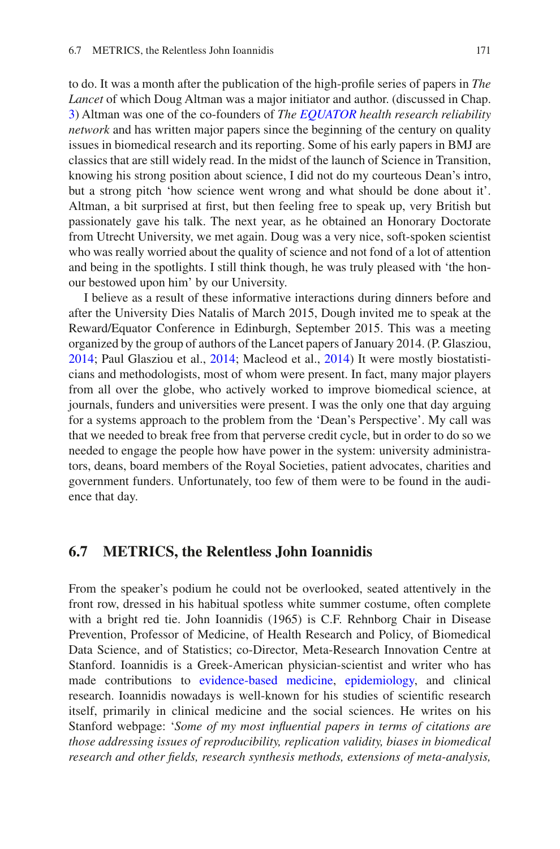to do. It was a month after the publication of the high-profle series of papers in *The Lancet* of which Doug Altman was a major initiator and author. (discussed in Chap. [3\)](https://doi.org/10.1007/978-94-024-2115-6_3) Altman was one of the co-founders of *The [EQUATOR](https://en.wikipedia.org/wiki/EQUATOR_Network) health research reliability network* and has written major papers since the beginning of the century on quality issues in biomedical research and its reporting. Some of his early papers in BMJ are classics that are still widely read. In the midst of the launch of Science in Transition, knowing his strong position about science, I did not do my courteous Dean's intro, but a strong pitch 'how science went wrong and what should be done about it'. Altman, a bit surprised at frst, but then feeling free to speak up, very British but passionately gave his talk. The next year, as he obtained an Honorary Doctorate from Utrecht University, we met again. Doug was a very nice, soft-spoken scientist who was really worried about the quality of science and not fond of a lot of attention and being in the spotlights. I still think though, he was truly pleased with 'the honour bestowed upon him' by our University.

I believe as a result of these informative interactions during dinners before and after the University Dies Natalis of March 2015, Dough invited me to speak at the Reward/Equator Conference in Edinburgh, September 2015. This was a meeting organized by the group of authors of the Lancet papers of January 2014. (P. Glasziou, [2014;](#page-19-6) Paul Glasziou et al., [2014;](#page-19-7) Macleod et al., [2014\)](#page-19-8) It were mostly biostatisticians and methodologists, most of whom were present. In fact, many major players from all over the globe, who actively worked to improve biomedical science, at journals, funders and universities were present. I was the only one that day arguing for a systems approach to the problem from the 'Dean's Perspective'. My call was that we needed to break free from that perverse credit cycle, but in order to do so we needed to engage the people how have power in the system: university administrators, deans, board members of the Royal Societies, patient advocates, charities and government funders. Unfortunately, too few of them were to be found in the audience that day.

#### **6.7 METRICS, the Relentless John Ioannidis**

From the speaker's podium he could not be overlooked, seated attentively in the front row, dressed in his habitual spotless white summer costume, often complete with a bright red tie. John Ioannidis (1965) is C.F. Rehnborg Chair in Disease Prevention, Professor of Medicine, of Health Research and Policy, of Biomedical Data Science, and of Statistics; co-Director, Meta-Research Innovation Centre at Stanford. Ioannidis is a Greek-American physician-scientist and writer who has made contributions to [evidence-based medicine,](https://en.wikipedia.org/wiki/Evidence-based_medicine) [epidemiology](https://en.wikipedia.org/wiki/Epidemiology), and clinical research. Ioannidis nowadays is well-known for his studies of scientifc research itself, primarily in clinical medicine and the social sciences. He writes on his Stanford webpage: '*Some of my most infuential papers in terms of citations are those addressing issues of reproducibility, replication validity, biases in biomedical research and other felds, research synthesis methods, extensions of meta-analysis,*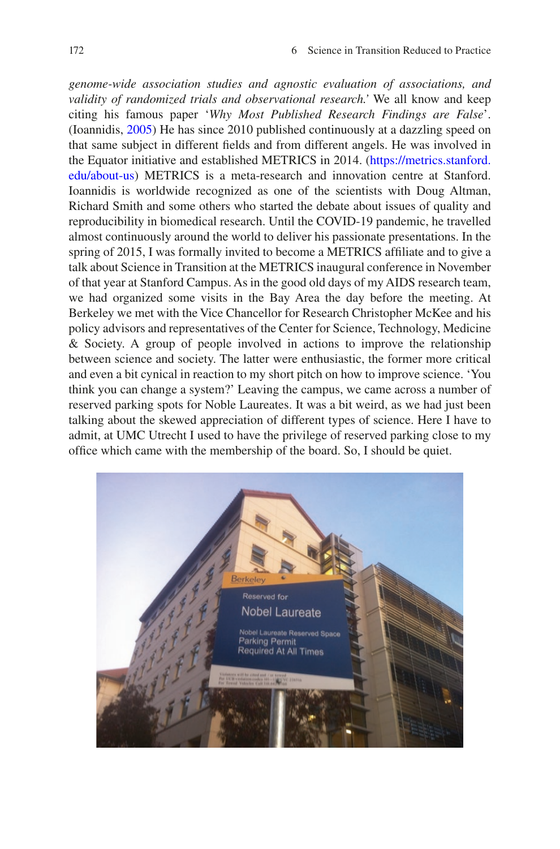*genome-wide association studies and agnostic evaluation of associations, and validity of randomized trials and observational research.'* We all know and keep citing his famous paper '*Why Most Published Research Findings are False*'. (Ioannidis, [2005](#page-19-9)) He has since 2010 published continuously at a dazzling speed on that same subject in different felds and from different angels. He was involved in the Equator initiative and established METRICS in 2014. ([https://metrics.stanford.](https://metrics.stanford.edu/about-us) [edu/about-us\)](https://metrics.stanford.edu/about-us) METRICS is a meta-research and innovation centre at Stanford. Ioannidis is worldwide recognized as one of the scientists with Doug Altman, Richard Smith and some others who started the debate about issues of quality and reproducibility in biomedical research. Until the COVID-19 pandemic, he travelled almost continuously around the world to deliver his passionate presentations. In the spring of 2015, I was formally invited to become a METRICS affliate and to give a talk about Science in Transition at the METRICS inaugural conference in November of that year at Stanford Campus. As in the good old days of my AIDS research team, we had organized some visits in the Bay Area the day before the meeting. At Berkeley we met with the Vice Chancellor for Research Christopher McKee and his policy advisors and representatives of the Center for Science, Technology, Medicine & Society. A group of people involved in actions to improve the relationship between science and society. The latter were enthusiastic, the former more critical and even a bit cynical in reaction to my short pitch on how to improve science. 'You think you can change a system?' Leaving the campus, we came across a number of reserved parking spots for Noble Laureates. It was a bit weird, as we had just been talking about the skewed appreciation of different types of science. Here I have to admit, at UMC Utrecht I used to have the privilege of reserved parking close to my offce which came with the membership of the board. So, I should be quiet.

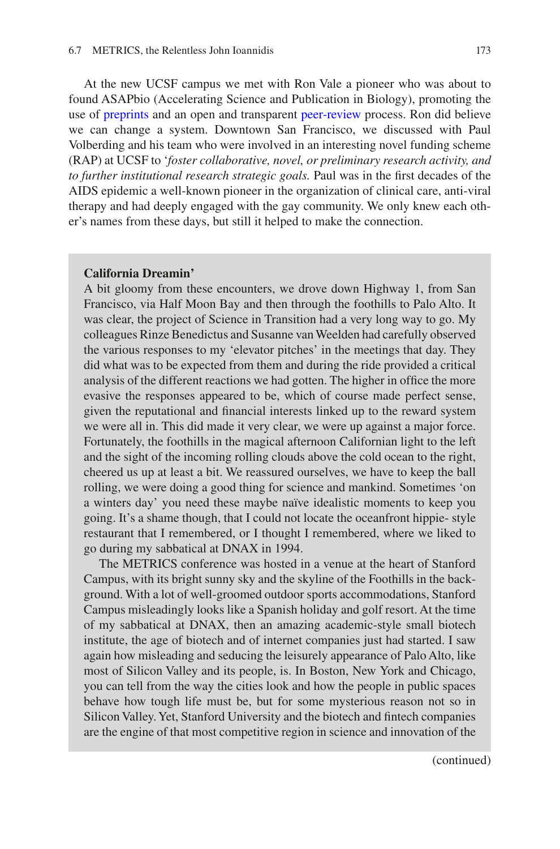At the new UCSF campus we met with Ron Vale a pioneer who was about to found ASAPbio (Accelerating Science and Publication in Biology), promoting the use of [preprints](https://en.wikipedia.org/wiki/Preprints) and an open and transparent [peer-review](https://en.wikipedia.org/wiki/Peer-review) process. Ron did believe we can change a system. Downtown San Francisco, we discussed with Paul Volberding and his team who were involved in an interesting novel funding scheme (RAP) at UCSF to '*foster collaborative, novel, or preliminary research activity, and to further institutional research strategic goals.* Paul was in the frst decades of the AIDS epidemic a well-known pioneer in the organization of clinical care, anti-viral therapy and had deeply engaged with the gay community. We only knew each other's names from these days, but still it helped to make the connection.

#### **California Dreamin'**

A bit gloomy from these encounters, we drove down Highway 1, from San Francisco, via Half Moon Bay and then through the foothills to Palo Alto. It was clear, the project of Science in Transition had a very long way to go. My colleagues Rinze Benedictus and Susanne van Weelden had carefully observed the various responses to my 'elevator pitches' in the meetings that day. They did what was to be expected from them and during the ride provided a critical analysis of the different reactions we had gotten. The higher in office the more evasive the responses appeared to be, which of course made perfect sense, given the reputational and fnancial interests linked up to the reward system we were all in. This did made it very clear, we were up against a major force. Fortunately, the foothills in the magical afternoon Californian light to the left and the sight of the incoming rolling clouds above the cold ocean to the right, cheered us up at least a bit. We reassured ourselves, we have to keep the ball rolling, we were doing a good thing for science and mankind. Sometimes 'on a winters day' you need these maybe naïve idealistic moments to keep you going. It's a shame though, that I could not locate the oceanfront hippie- style restaurant that I remembered, or I thought I remembered, where we liked to go during my sabbatical at DNAX in 1994.

The METRICS conference was hosted in a venue at the heart of Stanford Campus, with its bright sunny sky and the skyline of the Foothills in the background. With a lot of well-groomed outdoor sports accommodations, Stanford Campus misleadingly looks like a Spanish holiday and golf resort. At the time of my sabbatical at DNAX, then an amazing academic-style small biotech institute, the age of biotech and of internet companies just had started. I saw again how misleading and seducing the leisurely appearance of Palo Alto, like most of Silicon Valley and its people, is. In Boston, New York and Chicago, you can tell from the way the cities look and how the people in public spaces behave how tough life must be, but for some mysterious reason not so in Silicon Valley. Yet, Stanford University and the biotech and fntech companies are the engine of that most competitive region in science and innovation of the

(continued)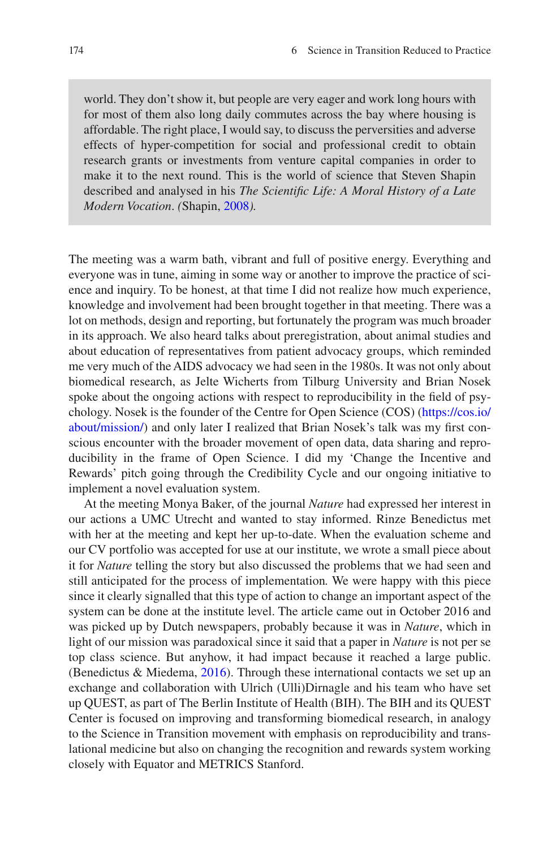world. They don't show it, but people are very eager and work long hours with for most of them also long daily commutes across the bay where housing is affordable. The right place, I would say, to discuss the perversities and adverse effects of hyper-competition for social and professional credit to obtain research grants or investments from venture capital companies in order to make it to the next round. This is the world of science that Steven Shapin described and analysed in his *The Scientifc Life: A Moral History of a Late Modern Vocation*. *(*Shapin, [2008](#page-19-11)*).*

The meeting was a warm bath, vibrant and full of positive energy. Everything and everyone was in tune, aiming in some way or another to improve the practice of science and inquiry. To be honest, at that time I did not realize how much experience, knowledge and involvement had been brought together in that meeting. There was a lot on methods, design and reporting, but fortunately the program was much broader in its approach. We also heard talks about preregistration, about animal studies and about education of representatives from patient advocacy groups, which reminded me very much of the AIDS advocacy we had seen in the 1980s. It was not only about biomedical research, as Jelte Wicherts from Tilburg University and Brian Nosek spoke about the ongoing actions with respect to reproducibility in the feld of psychology. Nosek is the founder of the Centre for Open Science (COS) [\(https://cos.io/](https://cos.io/about/mission/) [about/mission/\)](https://cos.io/about/mission/) and only later I realized that Brian Nosek's talk was my frst conscious encounter with the broader movement of open data, data sharing and reproducibility in the frame of Open Science. I did my 'Change the Incentive and Rewards' pitch going through the Credibility Cycle and our ongoing initiative to implement a novel evaluation system.

At the meeting Monya Baker, of the journal *Nature* had expressed her interest in our actions a UMC Utrecht and wanted to stay informed. Rinze Benedictus met with her at the meeting and kept her up-to-date. When the evaluation scheme and our CV portfolio was accepted for use at our institute, we wrote a small piece about it for *Nature* telling the story but also discussed the problems that we had seen and still anticipated for the process of implementation*.* We were happy with this piece since it clearly signalled that this type of action to change an important aspect of the system can be done at the institute level. The article came out in October 2016 and was picked up by Dutch newspapers, probably because it was in *Nature*, which in light of our mission was paradoxical since it said that a paper in *Nature* is not per se top class science. But anyhow, it had impact because it reached a large public. (Benedictus & Miedema, [2016\)](#page-19-10). Through these international contacts we set up an exchange and collaboration with Ulrich (Ulli)Dirnagle and his team who have set up QUEST, as part of The Berlin Institute of Health (BIH). The BIH and its QUEST Center is focused on improving and transforming biomedical research, in analogy to the Science in Transition movement with emphasis on reproducibility and translational medicine but also on changing the recognition and rewards system working closely with Equator and METRICS Stanford.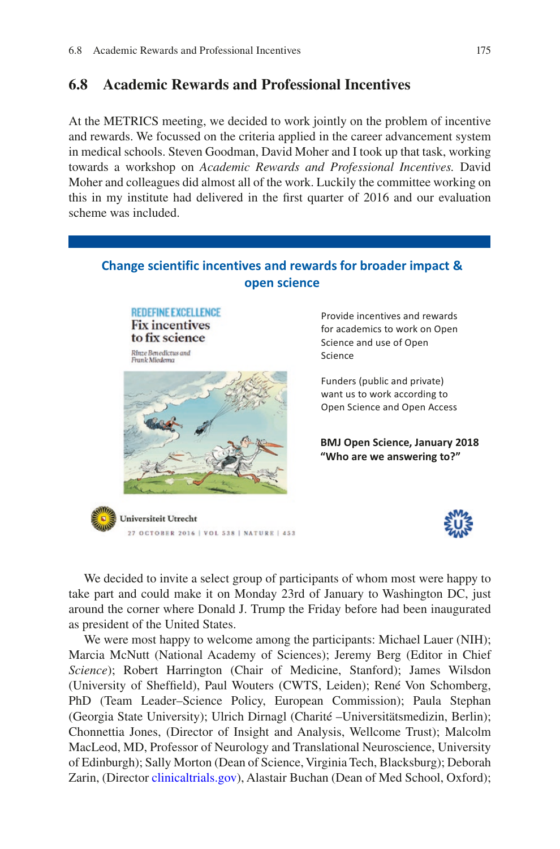# **6.8 Academic Rewards and Professional Incentives**

At the METRICS meeting, we decided to work jointly on the problem of incentive and rewards. We focussed on the criteria applied in the career advancement system in medical schools. Steven Goodman, David Moher and I took up that task, working towards a workshop on *Academic Rewards and Professional Incentives.* David Moher and colleagues did almost all of the work. Luckily the committee working on this in my institute had delivered in the frst quarter of 2016 and our evaluation scheme was included.



We decided to invite a select group of participants of whom most were happy to take part and could make it on Monday 23rd of January to Washington DC, just around the corner where Donald J. Trump the Friday before had been inaugurated as president of the United States.

We were most happy to welcome among the participants: Michael Lauer (NIH); Marcia McNutt (National Academy of Sciences); Jeremy Berg (Editor in Chief *Science*); Robert Harrington (Chair of Medicine, Stanford); James Wilsdon (University of Sheffeld), Paul Wouters (CWTS, Leiden); René Von Schomberg, PhD (Team Leader–Science Policy, European Commission); Paula Stephan (Georgia State University); Ulrich Dirnagl (Charité –Universitätsmedizin, Berlin); Chonnettia Jones, (Director of Insight and Analysis, Wellcome Trust); Malcolm MacLeod, MD, Professor of Neurology and Translational Neuroscience, University of Edinburgh); Sally Morton (Dean of Science, Virginia Tech, Blacksburg); Deborah Zarin, (Director [clinicaltrials.gov\)](http://clinicaltrials.gov), Alastair Buchan (Dean of Med School, Oxford);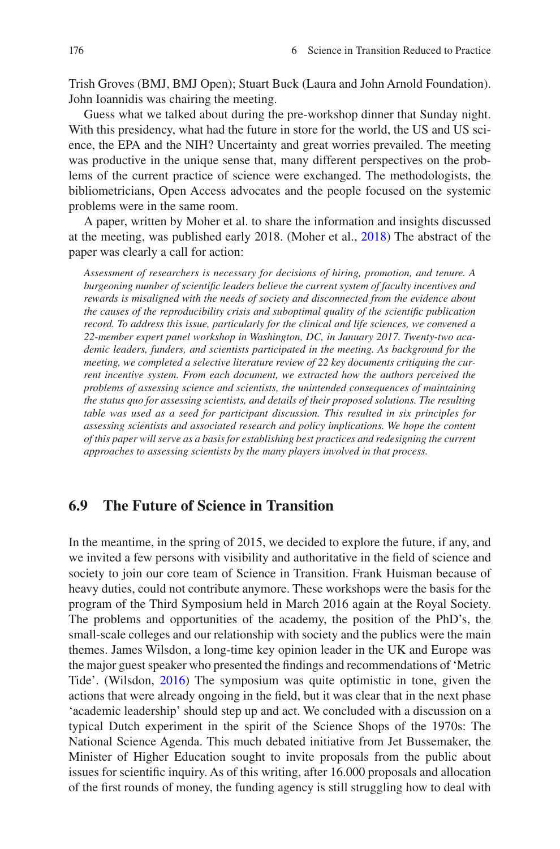Trish Groves (BMJ, BMJ Open); Stuart Buck (Laura and John Arnold Foundation). John Ioannidis was chairing the meeting.

Guess what we talked about during the pre-workshop dinner that Sunday night. With this presidency, what had the future in store for the world, the US and US science, the EPA and the NIH? Uncertainty and great worries prevailed. The meeting was productive in the unique sense that, many different perspectives on the problems of the current practice of science were exchanged. The methodologists, the bibliometricians, Open Access advocates and the people focused on the systemic problems were in the same room.

A paper, written by Moher et al. to share the information and insights discussed at the meeting, was published early 2018. (Moher et al., [2018](#page-19-12)) The abstract of the paper was clearly a call for action:

*Assessment of researchers is necessary for decisions of hiring, promotion, and tenure. A burgeoning number of scientifc leaders believe the current system of faculty incentives and rewards is misaligned with the needs of society and disconnected from the evidence about the causes of the reproducibility crisis and suboptimal quality of the scientifc publication record. To address this issue, particularly for the clinical and life sciences, we convened a 22-member expert panel workshop in Washington, DC, in January 2017. Twenty-two academic leaders, funders, and scientists participated in the meeting. As background for the meeting, we completed a selective literature review of 22 key documents critiquing the current incentive system. From each document, we extracted how the authors perceived the problems of assessing science and scientists, the unintended consequences of maintaining the status quo for assessing scientists, and details of their proposed solutions. The resulting table was used as a seed for participant discussion. This resulted in six principles for assessing scientists and associated research and policy implications. We hope the content of this paper will serve as a basis for establishing best practices and redesigning the current approaches to assessing scientists by the many players involved in that process.*

## **6.9 The Future of Science in Transition**

In the meantime, in the spring of 2015, we decided to explore the future, if any, and we invited a few persons with visibility and authoritative in the feld of science and society to join our core team of Science in Transition. Frank Huisman because of heavy duties, could not contribute anymore. These workshops were the basis for the program of the Third Symposium held in March 2016 again at the Royal Society. The problems and opportunities of the academy, the position of the PhD's, the small-scale colleges and our relationship with society and the publics were the main themes. James Wilsdon, a long-time key opinion leader in the UK and Europe was the major guest speaker who presented the fndings and recommendations of 'Metric Tide'. (Wilsdon, [2016](#page-19-13)) The symposium was quite optimistic in tone, given the actions that were already ongoing in the feld, but it was clear that in the next phase 'academic leadership' should step up and act. We concluded with a discussion on a typical Dutch experiment in the spirit of the Science Shops of the 1970s: The National Science Agenda. This much debated initiative from Jet Bussemaker, the Minister of Higher Education sought to invite proposals from the public about issues for scientifc inquiry. As of this writing, after 16.000 proposals and allocation of the frst rounds of money, the funding agency is still struggling how to deal with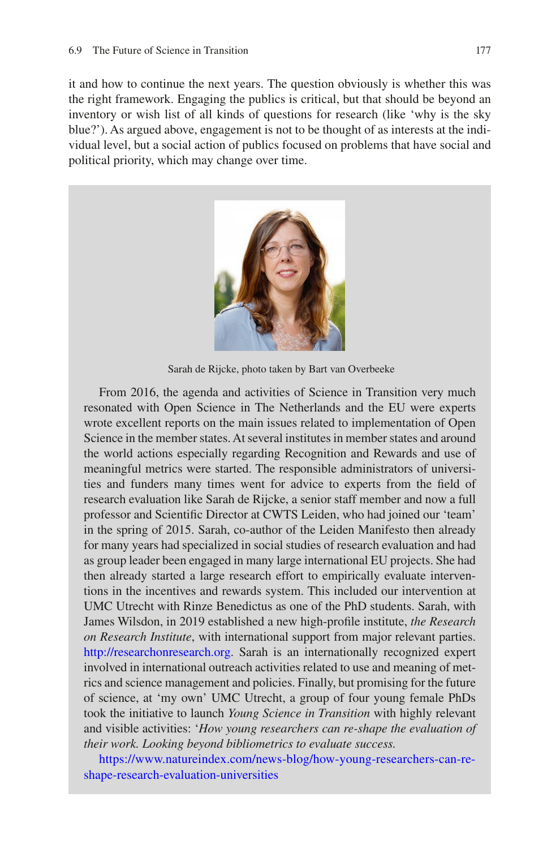it and how to continue the next years. The question obviously is whether this was the right framework. Engaging the publics is critical, but that should be beyond an inventory or wish list of all kinds of questions for research (like 'why is the sky blue?'). As argued above, engagement is not to be thought of as interests at the individual level, but a social action of publics focused on problems that have social and political priority, which may change over time.



Sarah de Rijcke, photo taken by Bart van Overbeeke

From 2016, the agenda and activities of Science in Transition very much resonated with Open Science in The Netherlands and the EU were experts wrote excellent reports on the main issues related to implementation of Open Science in the member states. At several institutes in member states and around the world actions especially regarding Recognition and Rewards and use of meaningful metrics were started. The responsible administrators of universities and funders many times went for advice to experts from the feld of research evaluation like Sarah de Rijcke, a senior staff member and now a full professor and Scientifc Director at CWTS Leiden, who had joined our 'team' in the spring of 2015. Sarah, co-author of the Leiden Manifesto then already for many years had specialized in social studies of research evaluation and had as group leader been engaged in many large international EU projects. She had then already started a large research effort to empirically evaluate interventions in the incentives and rewards system. This included our intervention at UMC Utrecht with Rinze Benedictus as one of the PhD students. Sarah, with James Wilsdon, in 2019 established a new high-profle institute, *the Research on Research Institute*, with international support from major relevant parties. <http://researchonresearch.org>. Sarah is an internationally recognized expert involved in international outreach activities related to use and meaning of metrics and science management and policies. Finally, but promising for the future of science, at 'my own' UMC Utrecht, a group of four young female PhDs took the initiative to launch *Young Science in Transition* with highly relevant and visible activities: '*How young researchers can re-shape the evaluation of their work. Looking beyond bibliometrics to evaluate success.*

[https://www.natureindex.com/news-blog/how-young-researchers-can-re](https://www.natureindex.com/news-blog/how-young-researchers-can-re-shape-research-evaluation-universities)[shape-research-evaluation-universities](https://www.natureindex.com/news-blog/how-young-researchers-can-re-shape-research-evaluation-universities)